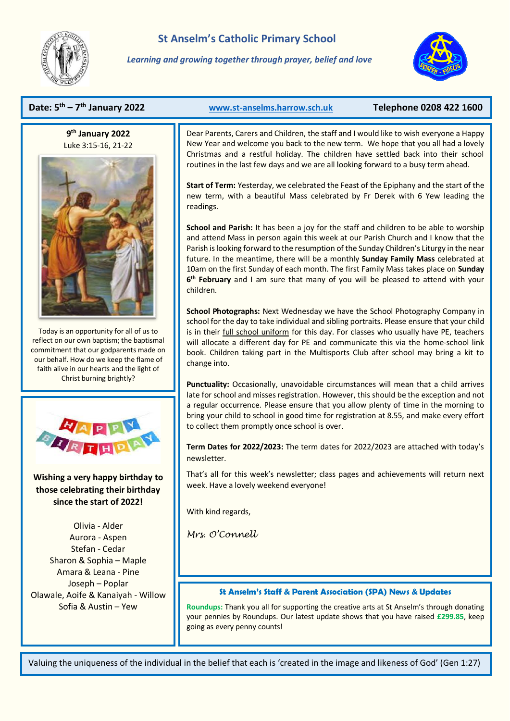

*Learning and growing together through prayer, belief and love*



## **Date: 5 th – 7**

**9 th January 2022** Luke 3:15-16, 21-22



Today is an opportunity for all of us to reflect on our own baptism; the baptismal commitment that our godparents made on our behalf. How do we keep the flame of faith alive in our hearts and the light of Christ burning brightly?



# **Wishing a very happy birthday to those celebrating their birthday since the start of 2022!**

Olivia - Alder Aurora - Aspen Stefan - Cedar Sharon & Sophia – Maple Amara & Leana - Pine Joseph – Poplar Olawale, Aoife & Kanaiyah - Willow Sofia & Austin – Yew

## **th January 2022 [www.st-anselms.harrow.sch.uk](http://www.st-anselms.harrow.sch.uk/) Telephone 0208 422 1600**

Dear Parents, Carers and Children, the staff and I would like to wish everyone a Happy New Year and welcome you back to the new term. We hope that you all had a lovely Christmas and a restful holiday. The children have settled back into their school routines in the last few days and we are all looking forward to a busy term ahead.

**Start of Term:** Yesterday, we celebrated the Feast of the Epiphany and the start of the new term, with a beautiful Mass celebrated by Fr Derek with 6 Yew leading the readings.

**School and Parish:** It has been a joy for the staff and children to be able to worship and attend Mass in person again this week at our Parish Church and I know that the Parish is looking forward to the resumption of the Sunday Children's Liturgy in the near future. In the meantime, there will be a monthly **Sunday Family Mass** celebrated at 10am on the first Sunday of each month. The first Family Mass takes place on **Sunday 6 th February** and I am sure that many of you will be pleased to attend with your children.

**School Photographs:** Next Wednesday we have the School Photography Company in school for the day to take individual and sibling portraits. Please ensure that your child is in their full school uniform for this day. For classes who usually have PE, teachers will allocate a different day for PE and communicate this via the home-school link book. Children taking part in the Multisports Club after school may bring a kit to change into.

**Punctuality:** Occasionally, unavoidable circumstances will mean that a child arrives late for school and misses registration. However, this should be the exception and not a regular occurrence. Please ensure that you allow plenty of time in the morning to bring your child to school in good time for registration at 8.55, and make every effort to collect them promptly once school is over.

**Term Dates for 2022/2023:** The term dates for 2022/2023 are attached with today's newsletter.

That's all for this week's newsletter; class pages and achievements will return next week. Have a lovely weekend everyone!

With kind regards,

*Mrs. O'Connell* 

Ξ

### **St Anselm's Staff & Parent Association (SPA) News & Updates**

**Roundups:** Thank you all for supporting the creative arts at St Anselm's through donating your pennies by Roundups. Our latest update shows that you have raised **£299.85**, keep going as every penny counts!

Valuing the uniqueness of the individual in the belief that each is 'created in the image and likeness of God' (Gen 1:27)